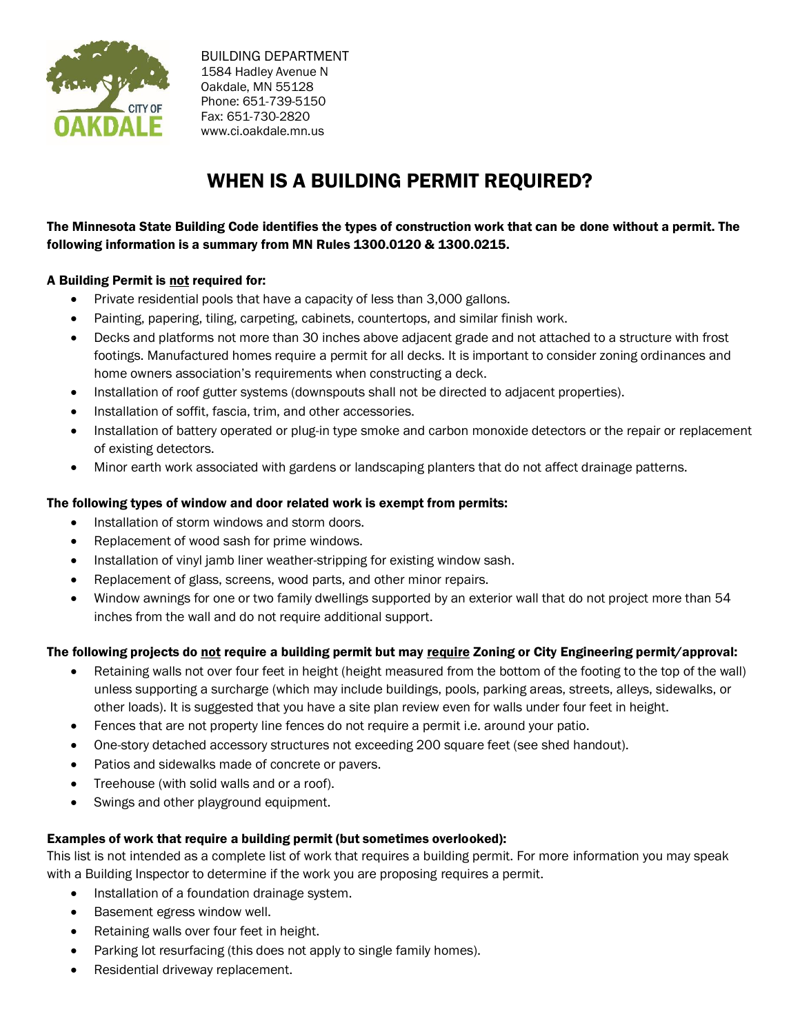

 BUILDING DEPARTMENT 1584 Hadley Avenue N Oakdale, MN 55128 Phone: 651-739-5150 Fax: 651-730-2820 www.ci.oakdale.mn.us

# WHEN IS A BUILDING PERMIT REQUIRED?

# The Minnesota State Building Code identifies the types of construction work that can be done without a permit. The following information is a summary from MN Rules 1300.0120 & 1300.0215.

## A Building Permit is not required for:

- Private residential pools that have a capacity of less than 3,000 gallons.
- Painting, papering, tiling, carpeting, cabinets, countertops, and similar finish work.
- Decks and platforms not more than 30 inches above adjacent grade and not attached to a structure with frost footings. Manufactured homes require a permit for all decks. It is important to consider zoning ordinances and home owners association's requirements when constructing a deck.
- Installation of roof gutter systems (downspouts shall not be directed to adjacent properties).
- Installation of soffit, fascia, trim, and other accessories.
- Installation of battery operated or plug-in type smoke and carbon monoxide detectors or the repair or replacement of existing detectors.
- Minor earth work associated with gardens or landscaping planters that do not affect drainage patterns.

## The following types of window and door related work is exempt from permits:

- Installation of storm windows and storm doors.
- Replacement of wood sash for prime windows.
- Installation of vinyl jamb liner weather-stripping for existing window sash.
- Replacement of glass, screens, wood parts, and other minor repairs.
- Window awnings for one or two family dwellings supported by an exterior wall that do not project more than 54 inches from the wall and do not require additional support.

## The following projects do not require a building permit but may require Zoning or City Engineering permit/approval:

- Retaining walls not over four feet in height (height measured from the bottom of the footing to the top of the wall) unless supporting a surcharge (which may include buildings, pools, parking areas, streets, alleys, sidewalks, or other loads). It is suggested that you have a site plan review even for walls under four feet in height.
- Fences that are not property line fences do not require a permit i.e. around your patio.
- One-story detached accessory structures not exceeding 200 square feet (see shed handout).
- Patios and sidewalks made of concrete or pavers.
- Treehouse (with solid walls and or a roof).
- Swings and other playground equipment.

## Examples of work that require a building permit (but sometimes overlooked):

This list is not intended as a complete list of work that requires a building permit. For more information you may speak with a Building Inspector to determine if the work you are proposing requires a permit.

- Installation of a foundation drainage system.
- Basement egress window well.
- Retaining walls over four feet in height.
- Parking lot resurfacing (this does not apply to single family homes).
- Residential driveway replacement.